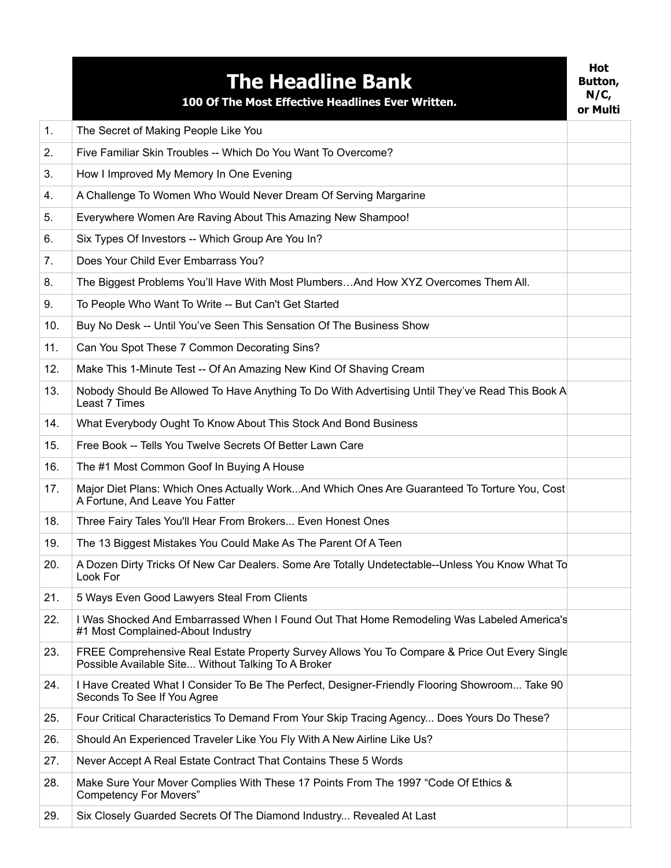|     | <b>The Headline Bank</b><br>100 Of The Most Effective Headlines Ever Written.                                                                        | Hot<br>Button,<br>N/C,<br>or Multi |
|-----|------------------------------------------------------------------------------------------------------------------------------------------------------|------------------------------------|
| 1.  | The Secret of Making People Like You                                                                                                                 |                                    |
| 2.  | Five Familiar Skin Troubles -- Which Do You Want To Overcome?                                                                                        |                                    |
| 3.  | How I Improved My Memory In One Evening                                                                                                              |                                    |
| 4.  | A Challenge To Women Who Would Never Dream Of Serving Margarine                                                                                      |                                    |
| 5.  | Everywhere Women Are Raving About This Amazing New Shampoo!                                                                                          |                                    |
| 6.  | Six Types Of Investors -- Which Group Are You In?                                                                                                    |                                    |
| 7.  | Does Your Child Ever Embarrass You?                                                                                                                  |                                    |
| 8.  | The Biggest Problems You'll Have With Most PlumbersAnd How XYZ Overcomes Them All.                                                                   |                                    |
| 9.  | To People Who Want To Write -- But Can't Get Started                                                                                                 |                                    |
| 10. | Buy No Desk -- Until You've Seen This Sensation Of The Business Show                                                                                 |                                    |
| 11. | Can You Spot These 7 Common Decorating Sins?                                                                                                         |                                    |
| 12. | Make This 1-Minute Test -- Of An Amazing New Kind Of Shaving Cream                                                                                   |                                    |
| 13. | Nobody Should Be Allowed To Have Anything To Do With Advertising Until They've Read This Book A<br>Least 7 Times                                     |                                    |
| 14. | What Everybody Ought To Know About This Stock And Bond Business                                                                                      |                                    |
| 15. | Free Book -- Tells You Twelve Secrets Of Better Lawn Care                                                                                            |                                    |
| 16. | The #1 Most Common Goof In Buying A House                                                                                                            |                                    |
| 17. | Major Diet Plans: Which Ones Actually WorkAnd Which Ones Are Guaranteed To Torture You, Cost<br>A Fortune, And Leave You Fatter                      |                                    |
| 18. | Three Fairy Tales You'll Hear From Brokers Even Honest Ones                                                                                          |                                    |
| 19. | The 13 Biggest Mistakes You Could Make As The Parent Of A Teen                                                                                       |                                    |
| 20. | A Dozen Dirty Tricks Of New Car Dealers. Some Are Totally Undetectable--Unless You Know What To<br>Look For                                          |                                    |
| 21. | 5 Ways Even Good Lawyers Steal From Clients                                                                                                          |                                    |
| 22. | I Was Shocked And Embarrassed When I Found Out That Home Remodeling Was Labeled America's<br>#1 Most Complained-About Industry                       |                                    |
| 23. | FREE Comprehensive Real Estate Property Survey Allows You To Compare & Price Out Every Single<br>Possible Available Site Without Talking To A Broker |                                    |
| 24. | I Have Created What I Consider To Be The Perfect, Designer-Friendly Flooring Showroom Take 90<br>Seconds To See If You Agree                         |                                    |
| 25. | Four Critical Characteristics To Demand From Your Skip Tracing Agency Does Yours Do These?                                                           |                                    |
| 26. | Should An Experienced Traveler Like You Fly With A New Airline Like Us?                                                                              |                                    |
| 27. | Never Accept A Real Estate Contract That Contains These 5 Words                                                                                      |                                    |
| 28. | Make Sure Your Mover Complies With These 17 Points From The 1997 "Code Of Ethics &<br><b>Competency For Movers"</b>                                  |                                    |
| 29. | Six Closely Guarded Secrets Of The Diamond Industry Revealed At Last                                                                                 |                                    |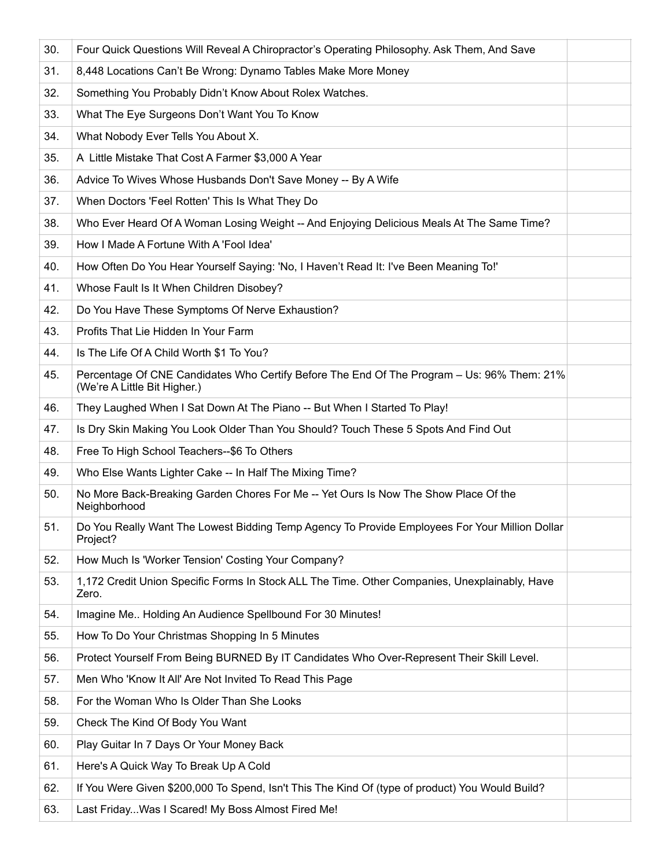| 30. | Four Quick Questions Will Reveal A Chiropractor's Operating Philosophy. Ask Them, And Save                                 |  |
|-----|----------------------------------------------------------------------------------------------------------------------------|--|
| 31. | 8,448 Locations Can't Be Wrong: Dynamo Tables Make More Money                                                              |  |
| 32. | Something You Probably Didn't Know About Rolex Watches.                                                                    |  |
| 33. | What The Eye Surgeons Don't Want You To Know                                                                               |  |
| 34. | What Nobody Ever Tells You About X.                                                                                        |  |
| 35. | A Little Mistake That Cost A Farmer \$3,000 A Year                                                                         |  |
| 36. | Advice To Wives Whose Husbands Don't Save Money -- By A Wife                                                               |  |
| 37. | When Doctors 'Feel Rotten' This Is What They Do                                                                            |  |
| 38. | Who Ever Heard Of A Woman Losing Weight -- And Enjoying Delicious Meals At The Same Time?                                  |  |
| 39. | How I Made A Fortune With A 'Fool Idea'                                                                                    |  |
| 40. | How Often Do You Hear Yourself Saying: 'No, I Haven't Read It: I've Been Meaning To!'                                      |  |
| 41. | Whose Fault Is It When Children Disobey?                                                                                   |  |
| 42. | Do You Have These Symptoms Of Nerve Exhaustion?                                                                            |  |
| 43. | Profits That Lie Hidden In Your Farm                                                                                       |  |
| 44. | Is The Life Of A Child Worth \$1 To You?                                                                                   |  |
| 45. | Percentage Of CNE Candidates Who Certify Before The End Of The Program - Us: 96% Them: 21%<br>(We're A Little Bit Higher.) |  |
| 46. | They Laughed When I Sat Down At The Piano -- But When I Started To Play!                                                   |  |
| 47. | Is Dry Skin Making You Look Older Than You Should? Touch These 5 Spots And Find Out                                        |  |
| 48. | Free To High School Teachers--\$6 To Others                                                                                |  |
| 49. | Who Else Wants Lighter Cake -- In Half The Mixing Time?                                                                    |  |
| 50. | No More Back-Breaking Garden Chores For Me -- Yet Ours Is Now The Show Place Of the<br>Neighborhood                        |  |
| 51. | Do You Really Want The Lowest Bidding Temp Agency To Provide Employees For Your Million Dollar<br>Project?                 |  |
| 52. | How Much Is 'Worker Tension' Costing Your Company?                                                                         |  |
| 53. | 1,172 Credit Union Specific Forms In Stock ALL The Time. Other Companies, Unexplainably, Have<br>Zero.                     |  |
| 54. | Imagine Me Holding An Audience Spellbound For 30 Minutes!                                                                  |  |
| 55. | How To Do Your Christmas Shopping In 5 Minutes                                                                             |  |
| 56. | Protect Yourself From Being BURNED By IT Candidates Who Over-Represent Their Skill Level.                                  |  |
| 57. | Men Who 'Know It All' Are Not Invited To Read This Page                                                                    |  |
| 58. | For the Woman Who Is Older Than She Looks                                                                                  |  |
| 59. | Check The Kind Of Body You Want                                                                                            |  |
| 60. | Play Guitar In 7 Days Or Your Money Back                                                                                   |  |
| 61. | Here's A Quick Way To Break Up A Cold                                                                                      |  |
| 62. | If You Were Given \$200,000 To Spend, Isn't This The Kind Of (type of product) You Would Build?                            |  |
| 63. | Last Friday Was I Scared! My Boss Almost Fired Me!                                                                         |  |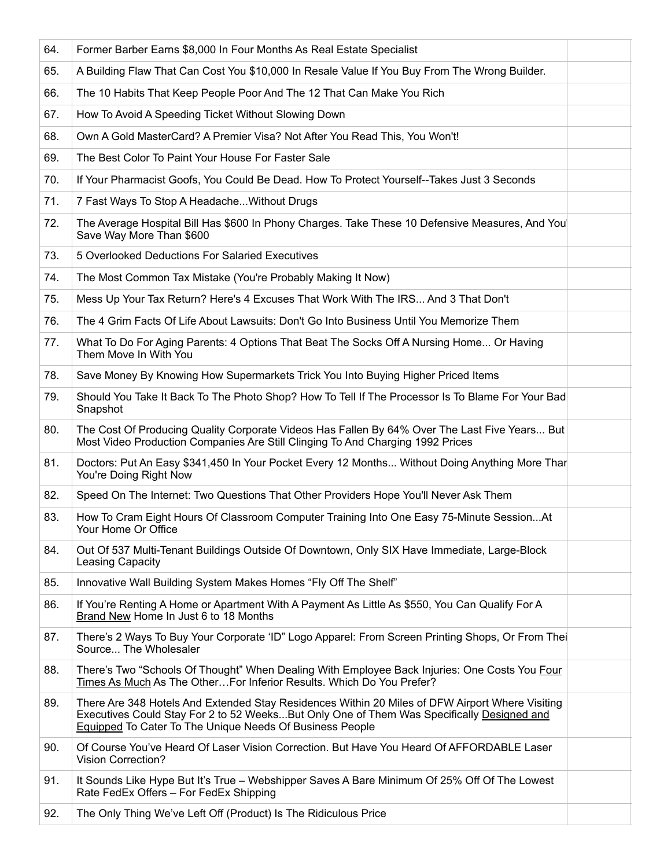| 64. | Former Barber Earns \$8,000 In Four Months As Real Estate Specialist                                                                                                                                                                                            |  |
|-----|-----------------------------------------------------------------------------------------------------------------------------------------------------------------------------------------------------------------------------------------------------------------|--|
| 65. | A Building Flaw That Can Cost You \$10,000 In Resale Value If You Buy From The Wrong Builder.                                                                                                                                                                   |  |
| 66. | The 10 Habits That Keep People Poor And The 12 That Can Make You Rich                                                                                                                                                                                           |  |
| 67. | How To Avoid A Speeding Ticket Without Slowing Down                                                                                                                                                                                                             |  |
| 68. | Own A Gold MasterCard? A Premier Visa? Not After You Read This, You Won't!                                                                                                                                                                                      |  |
| 69. | The Best Color To Paint Your House For Faster Sale                                                                                                                                                                                                              |  |
| 70. | If Your Pharmacist Goofs, You Could Be Dead. How To Protect Yourself--Takes Just 3 Seconds                                                                                                                                                                      |  |
| 71. | 7 Fast Ways To Stop A Headache Without Drugs                                                                                                                                                                                                                    |  |
| 72. | The Average Hospital Bill Has \$600 In Phony Charges. Take These 10 Defensive Measures, And You<br>Save Way More Than \$600                                                                                                                                     |  |
| 73. | 5 Overlooked Deductions For Salaried Executives                                                                                                                                                                                                                 |  |
| 74. | The Most Common Tax Mistake (You're Probably Making It Now)                                                                                                                                                                                                     |  |
| 75. | Mess Up Your Tax Return? Here's 4 Excuses That Work With The IRS And 3 That Don't                                                                                                                                                                               |  |
| 76. | The 4 Grim Facts Of Life About Lawsuits: Don't Go Into Business Until You Memorize Them                                                                                                                                                                         |  |
| 77. | What To Do For Aging Parents: 4 Options That Beat The Socks Off A Nursing Home Or Having<br>Them Move In With You                                                                                                                                               |  |
| 78. | Save Money By Knowing How Supermarkets Trick You Into Buying Higher Priced Items                                                                                                                                                                                |  |
| 79. | Should You Take It Back To The Photo Shop? How To Tell If The Processor Is To Blame For Your Bad<br>Snapshot                                                                                                                                                    |  |
| 80. | The Cost Of Producing Quality Corporate Videos Has Fallen By 64% Over The Last Five Years But<br>Most Video Production Companies Are Still Clinging To And Charging 1992 Prices                                                                                 |  |
| 81. | Doctors: Put An Easy \$341,450 In Your Pocket Every 12 Months Without Doing Anything More Thar<br>You're Doing Right Now                                                                                                                                        |  |
| 82. | Speed On The Internet: Two Questions That Other Providers Hope You'll Never Ask Them                                                                                                                                                                            |  |
| 83. | How To Cram Eight Hours Of Classroom Computer Training Into One Easy 75-Minute SessionAt<br>Your Home Or Office                                                                                                                                                 |  |
| 84. | Out Of 537 Multi-Tenant Buildings Outside Of Downtown, Only SIX Have Immediate, Large-Block<br>Leasing Capacity                                                                                                                                                 |  |
| 85. | Innovative Wall Building System Makes Homes "Fly Off The Shelf"                                                                                                                                                                                                 |  |
| 86. | If You're Renting A Home or Apartment With A Payment As Little As \$550, You Can Qualify For A<br>Brand New Home In Just 6 to 18 Months                                                                                                                         |  |
| 87. | There's 2 Ways To Buy Your Corporate 'ID" Logo Apparel: From Screen Printing Shops, Or From Thei<br>Source The Wholesaler                                                                                                                                       |  |
| 88. | There's Two "Schools Of Thought" When Dealing With Employee Back Injuries: One Costs You Four<br>Times As Much As The OtherFor Inferior Results. Which Do You Prefer?                                                                                           |  |
| 89. | There Are 348 Hotels And Extended Stay Residences Within 20 Miles of DFW Airport Where Visiting<br>Executives Could Stay For 2 to 52 WeeksBut Only One of Them Was Specifically Designed and<br><b>Equipped To Cater To The Unique Needs Of Business People</b> |  |
| 90. | Of Course You've Heard Of Laser Vision Correction. But Have You Heard Of AFFORDABLE Laser<br><b>Vision Correction?</b>                                                                                                                                          |  |
| 91. | It Sounds Like Hype But It's True – Webshipper Saves A Bare Minimum Of 25% Off Of The Lowest<br>Rate FedEx Offers - For FedEx Shipping                                                                                                                          |  |
| 92. | The Only Thing We've Left Off (Product) Is The Ridiculous Price                                                                                                                                                                                                 |  |